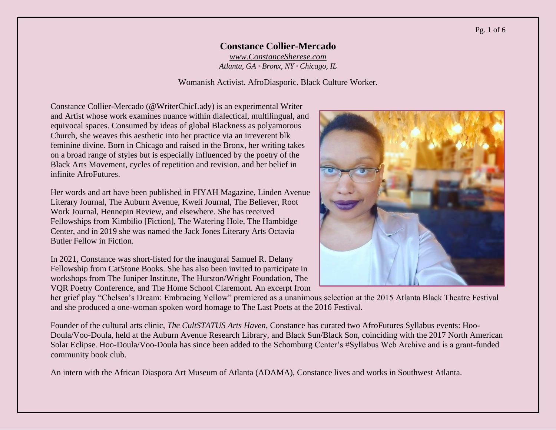#### Pg. 1 of 6

### **Constance Collier-Mercado** *[www.ConstanceSherese.com](http://www.constancesherese.com/)*

*Atlanta, GA · Bronx, NY · Chicago, IL*

Womanish Activist. AfroDiasporic. Black Culture Worker.

Constance Collier-Mercado (@WriterChicLady) is an experimental Writer and Artist whose work examines nuance within dialectical, multilingual, and equivocal spaces. Consumed by ideas of global Blackness as polyamorous Church, she weaves this aesthetic into her practice via an irreverent blk feminine divine. Born in Chicago and raised in the Bronx, her writing takes on a broad range of styles but is especially influenced by the poetry of the Black Arts Movement, cycles of repetition and revision, and her belief in infinite AfroFutures.

Her words and art have been published in FIYAH Magazine, Linden Avenue Literary Journal, The Auburn Avenue, Kweli Journal, The Believer, Root Work Journal, Hennepin Review, and elsewhere. She has received Fellowships from Kimbilio [Fiction], The Watering Hole, The Hambidge Center, and in 2019 she was named the Jack Jones Literary Arts Octavia Butler Fellow in Fiction.

In 2021, Constance was short-listed for the inaugural Samuel R. Delany Fellowship from CatStone Books. She has also been invited to participate in workshops from The Juniper Institute, The Hurston/Wright Foundation, The VQR Poetry Conference, and The Home School Claremont. An excerpt from



her grief play "Chelsea's Dream: Embracing Yellow" premiered as a unanimous selection at the 2015 Atlanta Black Theatre Festival and she produced a one-woman spoken word homage to The Last Poets at the 2016 Festival.

Founder of the cultural arts clinic, *The CultSTATUS Arts Haven*, Constance has curated two AfroFutures Syllabus events: Hoo-Doula/Voo-Doula, held at the Auburn Avenue Research Library, and Black Sun/Black Son, coinciding with the 2017 North American Solar Eclipse. Hoo-Doula/Voo-Doula has since been added to the Schomburg Center's #Syllabus Web Archive and is a grant-funded community book club.

An intern with the African Diaspora Art Museum of Atlanta (ADAMA), Constance lives and works in Southwest Atlanta.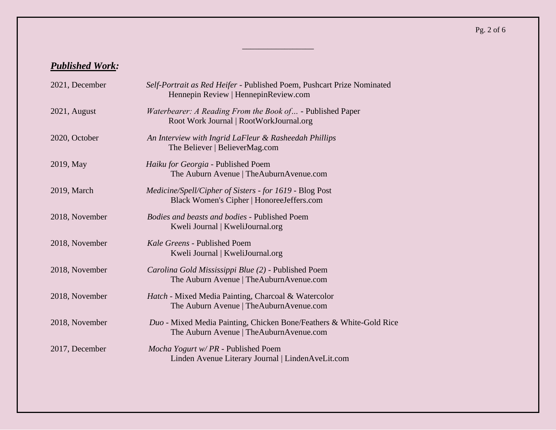# *Published Work:*

| 2021, December | Self-Portrait as Red Heifer - Published Poem, Pushcart Prize Nominated<br>Hennepin Review   Hennepin Review.com |
|----------------|-----------------------------------------------------------------------------------------------------------------|
| 2021, August   | Waterbearer: A Reading From the Book of - Published Paper<br>Root Work Journal   RootWorkJournal.org            |
| 2020, October  | An Interview with Ingrid LaFleur & Rasheedah Phillips<br>The Believer   BelieverMag.com                         |
| 2019, May      | Haiku for Georgia - Published Poem<br>The Auburn Avenue   TheAuburnAvenue.com                                   |
| 2019, March    | Medicine/Spell/Cipher of Sisters - for 1619 - Blog Post<br>Black Women's Cipher   HonoreeJeffers.com            |
| 2018, November | Bodies and beasts and bodies - Published Poem<br>Kweli Journal   KweliJournal.org                               |
| 2018, November | Kale Greens - Published Poem<br>Kweli Journal   KweliJournal.org                                                |
| 2018, November | Carolina Gold Mississippi Blue (2) - Published Poem<br>The Auburn Avenue   TheAuburnAvenue.com                  |
| 2018, November | Hatch - Mixed Media Painting, Charcoal & Watercolor<br>The Auburn Avenue   The Auburn Avenue.com                |
| 2018, November | Duo - Mixed Media Painting, Chicken Bone/Feathers & White-Gold Rice<br>The Auburn Avenue   TheAuburnAvenue.com  |
| 2017, December | Mocha Yogurt w/ PR - Published Poem<br>Linden Avenue Literary Journal   LindenAveLit.com                        |

 $\overline{\phantom{a}}$  , where  $\overline{\phantom{a}}$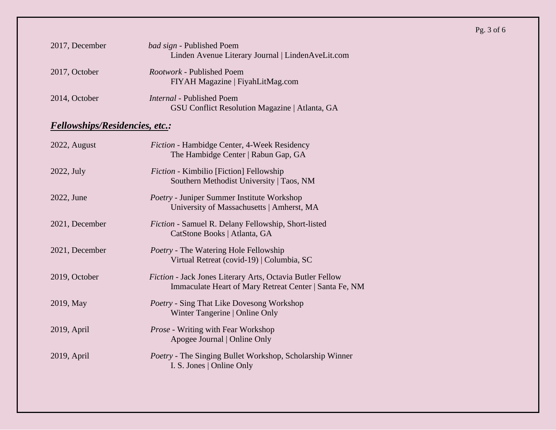## 2017, December *bad sign* - Published Poem Linden Avenue Literary Journal | LindenAveLit.com 2017, October *Rootwork* - Published Poem FIYAH Magazine | FiyahLitMag.com 2014, October *Internal* - Published Poem GSU Conflict Resolution Magazine | Atlanta, GA

## *Fellowships/Residencies, etc.:*

| 2022, August   | <i>Fiction</i> - Hambidge Center, 4-Week Residency<br>The Hambidge Center   Rabun Gap, GA                           |
|----------------|---------------------------------------------------------------------------------------------------------------------|
| 2022, July     | <i>Fiction</i> - Kimbilio [Fiction] Fellowship<br>Southern Methodist University   Taos, NM                          |
| 2022, June     | <i>Poetry</i> - Juniper Summer Institute Workshop<br>University of Massachusetts   Amherst, MA                      |
| 2021, December | <i>Fiction</i> - Samuel R. Delany Fellowship, Short-listed<br>CatStone Books   Atlanta, GA                          |
| 2021, December | <i>Poetry</i> - The Watering Hole Fellowship<br>Virtual Retreat (covid-19)   Columbia, SC                           |
| 2019, October  | Fiction - Jack Jones Literary Arts, Octavia Butler Fellow<br>Immaculate Heart of Mary Retreat Center   Santa Fe, NM |
| 2019, May      | <i>Poetry</i> - Sing That Like Dovesong Workshop<br>Winter Tangerine   Online Only                                  |
| 2019, April    | <i>Prose</i> - Writing with Fear Workshop<br>Apogee Journal   Online Only                                           |
| 2019, April    | Poetry - The Singing Bullet Workshop, Scholarship Winner<br>I. S. Jones   Online Only                               |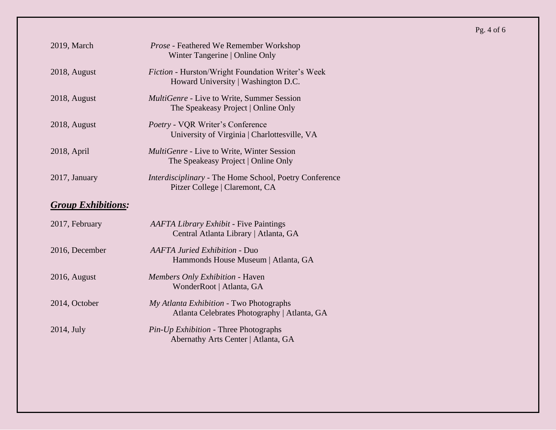Pg. 4 of 6

| 2018, August              | Fiction - Hurston/Wright Foundation Writer's Week<br>Howard University   Washington D.C. |
|---------------------------|------------------------------------------------------------------------------------------|
| 2018, August              | MultiGenre - Live to Write, Summer Session<br>The Speakeasy Project   Online Only        |
| 2018, August              | Poetry - VQR Writer's Conference<br>University of Virginia   Charlottesville, VA         |
| 2018, April               | <i>MultiGenre</i> - Live to Write, Winter Session<br>The Speakeasy Project   Online Only |
| 2017, January             | Interdisciplinary - The Home School, Poetry Conference<br>Pitzer College   Claremont, CA |
| <b>Group Exhibitions:</b> |                                                                                          |
| 2017, February            | <b>AAFTA Library Exhibit - Five Paintings</b><br>Central Atlanta Library   Atlanta, GA   |
| 2016, December            | <b>AAFTA Juried Exhibition - Duo</b><br>Hammonds House Museum   Atlanta, GA              |
| 2016, August              | Members Only Exhibition - Haven<br>WonderRoot   Atlanta, GA                              |
| 2014, October             | My Atlanta Exhibition - Two Photographs<br>Atlanta Celebrates Photography   Atlanta, GA  |
| 2014, July                | Pin-Up Exhibition - Three Photographs<br>Abernathy Arts Center   Atlanta, GA             |

2019, March *Prose -* Feathered We Remember Workshop

Winter Tangerine | Online Only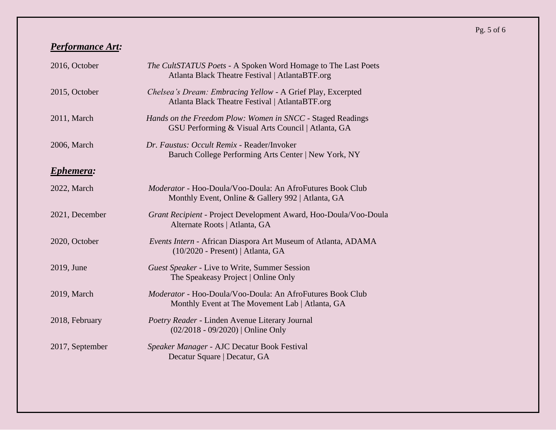# *Performance Art:*

| 2016, October   | The CultSTATUS Poets - A Spoken Word Homage to The Last Poets<br>Atlanta Black Theatre Festival   AtlantaBTF.org      |
|-----------------|-----------------------------------------------------------------------------------------------------------------------|
| 2015, October   | Chelsea's Dream: Embracing Yellow - A Grief Play, Excerpted<br>Atlanta Black Theatre Festival   AtlantaBTF.org        |
| 2011, March     | Hands on the Freedom Plow: Women in SNCC - Staged Readings<br>GSU Performing & Visual Arts Council   Atlanta, GA      |
| 2006, March     | Dr. Faustus: Occult Remix - Reader/Invoker<br>Baruch College Performing Arts Center   New York, NY                    |
| Ephemera:       |                                                                                                                       |
| 2022, March     | <i>Moderator</i> - Hoo-Doula/Voo-Doula: An AfroFutures Book Club<br>Monthly Event, Online & Gallery 992   Atlanta, GA |
| 2021, December  | Grant Recipient - Project Development Award, Hoo-Doula/Voo-Doula<br>Alternate Roots   Atlanta, GA                     |
| 2020, October   | Events Intern - African Diaspora Art Museum of Atlanta, ADAMA<br>$(10/2020 - Present)$   Atlanta, GA                  |
| 2019, June      | <b>Guest Speaker - Live to Write, Summer Session</b><br>The Speakeasy Project   Online Only                           |
| 2019, March     | Moderator - Hoo-Doula/Voo-Doula: An AfroFutures Book Club<br>Monthly Event at The Movement Lab   Atlanta, GA          |
| 2018, February  | Poetry Reader - Linden Avenue Literary Journal<br>$(02/2018 - 09/2020)$   Online Only                                 |
| 2017, September | Speaker Manager - AJC Decatur Book Festival<br>Decatur Square   Decatur, GA                                           |